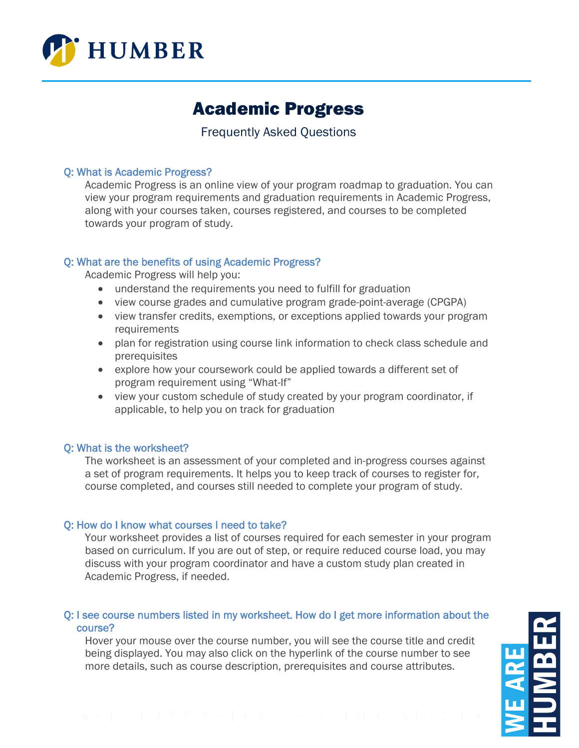

# Academic Progress

# Frequently Asked Questions

# Q: What is Academic Progress?

Academic Progress is an online view of your program roadmap to graduation. You can view your program requirements and graduation requirements in Academic Progress, along with your courses taken, courses registered, and courses to be completed towards your program of study.

# Q: What are the benefits of using Academic Progress?

Academic Progress will help you:

- understand the requirements you need to fulfill for graduation
- view course grades and cumulative program grade-point-average (CPGPA)
- view transfer credits, exemptions, or exceptions applied towards your program requirements
- plan for registration using course link information to check class schedule and prerequisites
- explore how your coursework could be applied towards a different set of program requirement using "What-If"
- view your custom schedule of study created by your program coordinator, if applicable, to help you on track for graduation

# Q: What is the worksheet?

The worksheet is an assessment of your completed and in-progress courses against a set of program requirements. It helps you to keep track of courses to register for, course completed, and courses still needed to complete your program of study.

# Q: How do I know what courses I need to take?

Your worksheet provides a list of courses required for each semester in your program based on curriculum. If you are out of step, or require reduced course load, you may discuss with your program coordinator and have a custom study plan created in Academic Progress, if needed.

# Q: I see course numbers listed in my worksheet. How do I get more information about the course?

Hover your mouse over the course number, you will see the course title and credit being displayed. You may also click on the hyperlink of the course number to see more details, such as course description, prerequisites and course attributes.

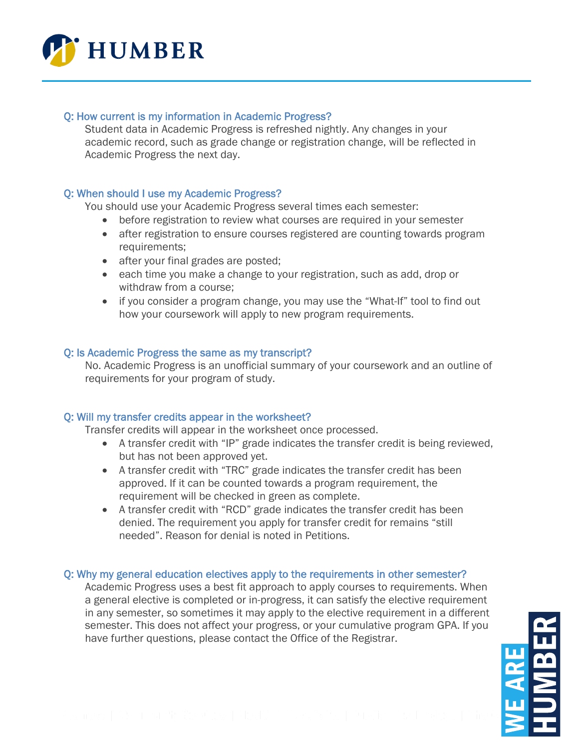

# Q: How current is my information in Academic Progress?

Student data in Academic Progress is refreshed nightly. Any changes in your academic record, such as grade change or registration change, will be reflected in Academic Progress the next day.

# Q: When should I use my Academic Progress?

You should use your Academic Progress several times each semester:

- before registration to review what courses are required in your semester
- after registration to ensure courses registered are counting towards program requirements;
- after your final grades are posted;
- each time you make a change to your registration, such as add, drop or withdraw from a course;
- if you consider a program change, you may use the "What-If" tool to find out how your coursework will apply to new program requirements.

#### Q: Is Academic Progress the same as my transcript?

No. Academic Progress is an unofficial summary of your coursework and an outline of requirements for your program of study.

# Q: Will my transfer credits appear in the worksheet?

Transfer credits will appear in the worksheet once processed.

- A transfer credit with "IP" grade indicates the transfer credit is being reviewed, but has not been approved yet.
- A transfer credit with "TRC" grade indicates the transfer credit has been approved. If it can be counted towards a program requirement, the requirement will be checked in green as complete.
- A transfer credit with "RCD" grade indicates the transfer credit has been denied. The requirement you apply for transfer credit for remains "still needed". Reason for denial is noted in Petitions.

#### Q: Why my general education electives apply to the requirements in other semester?

Academic Progress uses a best fit approach to apply courses to requirements. When a general elective is completed or in-progress, it can satisfy the elective requirement in any semester, so sometimes it may apply to the elective requirement in a different semester. This does not affect your progress, or your cumulative program GPA. If you have further questions, please contact the Office of the Registrar.